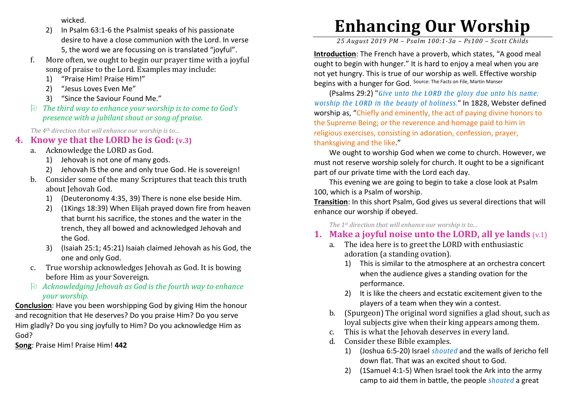wicked.

- 2) In Psalm 63:1-6 the Psalmist speaks of his passionate desire to have a close communion with the Lord. In verse 5, the word we are focussing on is translated "joyful".
- f. More often, we ought to begin our prayer time with a joyful song of praise to the Lord. Examples may include:
	- 1)"Praise Him! Praise Him!"
	- 2)"Jesus Loves Even Me"
	- 3)"Since the Saviour Found Me."
- *The third way to enhance your worship is to come to God's presence with a jubilant shout or song of praise.*

*The 4th direction that will enhance our worship is to…* 

## **4. Know ye that the LORD he is God: (v.3)**

- a. Acknowledge the LORD as God.
	- 1) Jehovah is not one of many gods.
	- 2) Jehovah IS the one and only true God. He is sovereign!
- b. Consider some of the many Scriptures that teach this truth about Jehovah God.
	- 1) (Deuteronomy 4:35, 39) There is none else beside Him.
	- 2) (1Kings 18:39) When Elijah prayed down fire from heaven that burnt his sacrifice, the stones and the water in the trench, they all bowed and acknowledged Jehovah andthe God.
	- 3) (Isaiah 25:1; 45:21) Isaiah claimed Jehovah as his God, the one and only God.
- c. True worship acknowledges Jehovah as God. It is bowing before Him as your Sovereign.
- *Acknowledging Jehovah as God is the fourth way to enhance your worship.*

**Conclusion**: Have you been worshipping God by giving Him the honour and recognition that He deserves? Do you praise Him? Do you serve Him gladly? Do you sing joyfully to Him? Do you acknowledge Him as God?

**Song**: Praise Him! Praise Him! **442**

# **Enhancing Our Worship**

*25 August 2019 PM – Psalm 100:1-3a – Ps100 – Scott Childs* 

**Introduction**: The French have a proverb, which states, "A good meal ought to begin with hunger." It is hard to enjoy a meal when you are not yet hungry. This is true of our worship as well. Effective worship begins with a hunger for God. Source: The Facts on File, Martin Manser

(Psalms 29:2) "*Give unto the LORD the glory due unto his name; worship the LORD in the beauty of holiness.*" In 1828, Webster defined worship as, "Chiefly and eminently, the act of paying divine honors to the Supreme Being; or the reverence and homage paid to him in religious exercises, consisting in adoration, confession, prayer, thanksgiving and the like."

We ought to worship God when we come to church. However, we must not reserve worship solely for church. It ought to be a significant part of our private time with the Lord each day.

This evening we are going to begin to take a close look at Psalm 100, which is a Psalm of worship.

**Transition**: In this short Psalm, God gives us several directions that will enhance our worship if obeyed.

*The 1st direction that will enhance our worship is to…* 

## **1. Make a joyful noise unto the LORD, all ye lands** (v.1)

- a. The idea here is to greet the LORD with enthusiastic adoration (a standing ovation).
	- 1) This is similar to the atmosphere at an orchestra concert when the audience gives a standing ovation for the performance.
	- 2) It is like the cheers and ecstatic excitement given to the players of a team when they win a contest.
- b. (Spurgeon) The original word signifies a glad shout, such as loyal subjects give when their king appears among them.
- c. This is what the Jehovah deserves in every land.
- d. Consider these Bible examples.
	- 1) (Joshua 6:5-20) Israel *shouted* and the walls of Jericho fell down flat. That was an excited shout to God.
	- 2) (1Samuel 4:1-5) When Israel took the Ark into the army camp to aid them in battle, the people *shouted* a great